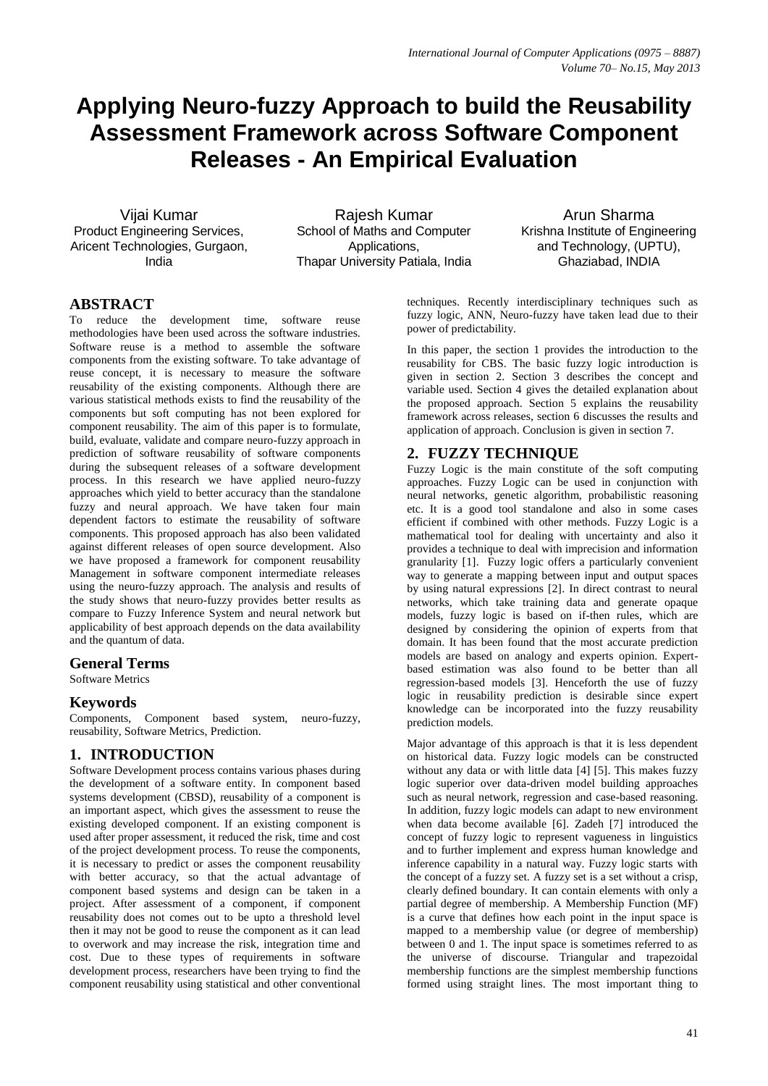# **Applying Neuro-fuzzy Approach to build the Reusability Assessment Framework across Software Component Releases - An Empirical Evaluation**

Vijai Kumar Product Engineering Services, Aricent Technologies, Gurgaon, India

Rajesh Kumar School of Maths and Computer Applications, Thapar University Patiala, India

Arun Sharma Krishna Institute of Engineering and Technology, (UPTU), Ghaziabad, INDIA

# **ABSTRACT**

To reduce the development time, software reuse methodologies have been used across the software industries. Software reuse is a method to assemble the software components from the existing software. To take advantage of reuse concept, it is necessary to measure the software reusability of the existing components. Although there are various statistical methods exists to find the reusability of the components but soft computing has not been explored for component reusability. The aim of this paper is to formulate, build, evaluate, validate and compare neuro-fuzzy approach in prediction of software reusability of software components during the subsequent releases of a software development process. In this research we have applied neuro-fuzzy approaches which yield to better accuracy than the standalone fuzzy and neural approach. We have taken four main dependent factors to estimate the reusability of software components. This proposed approach has also been validated against different releases of open source development. Also we have proposed a framework for component reusability Management in software component intermediate releases using the neuro-fuzzy approach. The analysis and results of the study shows that neuro-fuzzy provides better results as compare to Fuzzy Inference System and neural network but applicability of best approach depends on the data availability and the quantum of data.

#### **General Terms**

Software Metrics

#### **Keywords**

Components, Component based system, neuro-fuzzy, reusability, Software Metrics, Prediction.

## **1. INTRODUCTION**

Software Development process contains various phases during the development of a software entity. In component based systems development (CBSD), reusability of a component is an important aspect, which gives the assessment to reuse the existing developed component. If an existing component is used after proper assessment, it reduced the risk, time and cost of the project development process. To reuse the components, it is necessary to predict or asses the component reusability with better accuracy, so that the actual advantage of component based systems and design can be taken in a project. After assessment of a component, if component reusability does not comes out to be upto a threshold level then it may not be good to reuse the component as it can lead to overwork and may increase the risk, integration time and cost. Due to these types of requirements in software development process, researchers have been trying to find the component reusability using statistical and other conventional

techniques. Recently interdisciplinary techniques such as fuzzy logic, ANN, Neuro-fuzzy have taken lead due to their power of predictability.

In this paper, the section 1 provides the introduction to the reusability for CBS. The basic fuzzy logic introduction is given in section 2. Section 3 describes the concept and variable used. Section 4 gives the detailed explanation about the proposed approach. Section 5 explains the reusability framework across releases, section 6 discusses the results and application of approach. Conclusion is given in section 7.

# **2. FUZZY TECHNIQUE**

Fuzzy Logic is the main constitute of the soft computing approaches. Fuzzy Logic can be used in conjunction with neural networks, genetic algorithm, probabilistic reasoning etc. It is a good tool standalone and also in some cases efficient if combined with other methods. Fuzzy Logic is a mathematical tool for dealing with uncertainty and also it provides a technique to deal with imprecision and information granularity [1]. Fuzzy logic offers a particularly convenient way to generate a mapping between input and output spaces by using natural expressions [2]. In direct contrast to neural networks, which take training data and generate opaque models, fuzzy logic is based on if-then rules, which are designed by considering the opinion of experts from that domain. It has been found that the most accurate prediction models are based on analogy and experts opinion. Expertbased estimation was also found to be better than all regression-based models [3]. Henceforth the use of fuzzy logic in reusability prediction is desirable since expert knowledge can be incorporated into the fuzzy reusability prediction models.

Major advantage of this approach is that it is less dependent on historical data. Fuzzy logic models can be constructed without any data or with little data [4] [5]. This makes fuzzy logic superior over data-driven model building approaches such as neural network, regression and case-based reasoning. In addition, fuzzy logic models can adapt to new environment when data become available [6]. Zadeh [7] introduced the concept of fuzzy logic to represent vagueness in linguistics and to further implement and express human knowledge and inference capability in a natural way. Fuzzy logic starts with the concept of a fuzzy set. A fuzzy set is a set without a crisp, clearly defined boundary. It can contain elements with only a partial degree of membership. A Membership Function (MF) is a curve that defines how each point in the input space is mapped to a membership value (or degree of membership) between 0 and 1. The input space is sometimes referred to as the universe of discourse. Triangular and trapezoidal membership functions are the simplest membership functions formed using straight lines. The most important thing to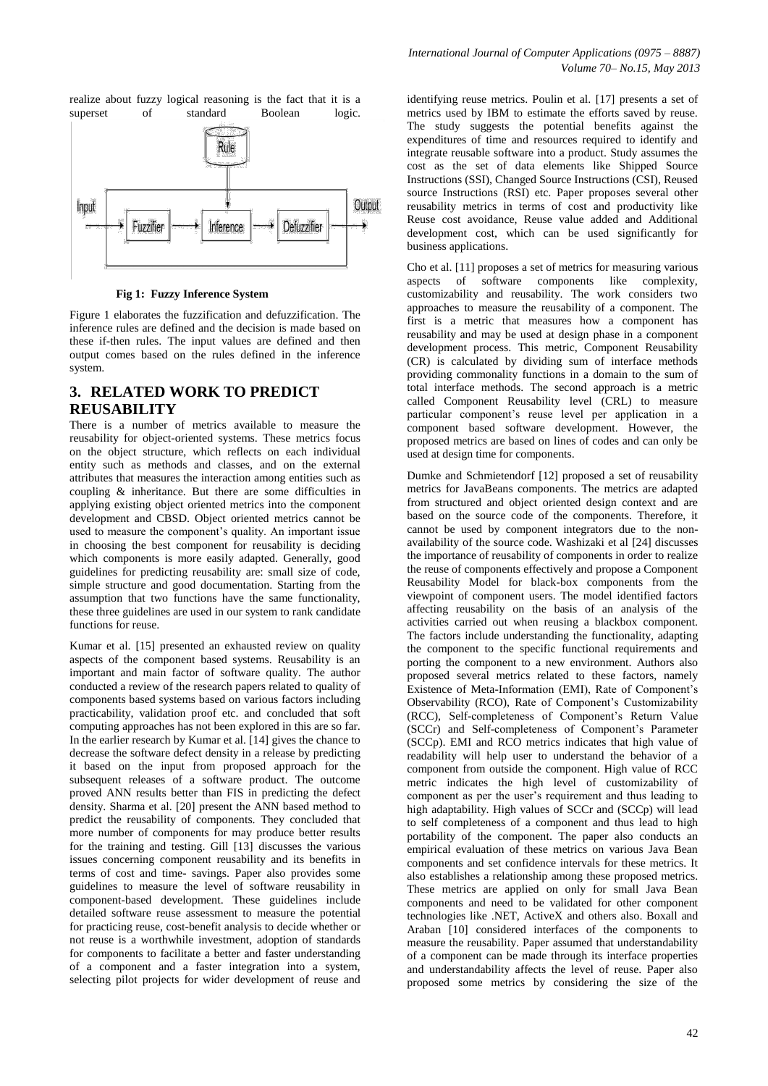realize about fuzzy logical reasoning is the fact that it is a superset of standard Boolean logic.



#### **Fig 1: Fuzzy Inference System**

Figure 1 elaborates the fuzzification and defuzzification. The inference rules are defined and the decision is made based on these if-then rules. The input values are defined and then output comes based on the rules defined in the inference system.

## **3. RELATED WORK TO PREDICT REUSABILITY**

There is a number of metrics available to measure the reusability for object-oriented systems. These metrics focus on the object structure, which reflects on each individual entity such as methods and classes, and on the external attributes that measures the interaction among entities such as coupling & inheritance. But there are some difficulties in applying existing object oriented metrics into the component development and CBSD. Object oriented metrics cannot be used to measure the component's quality. An important issue in choosing the best component for reusability is deciding which components is more easily adapted. Generally, good guidelines for predicting reusability are: small size of code, simple structure and good documentation. Starting from the assumption that two functions have the same functionality, these three guidelines are used in our system to rank candidate functions for reuse.

Kumar et al. [15] presented an exhausted review on quality aspects of the component based systems. Reusability is an important and main factor of software quality. The author conducted a review of the research papers related to quality of components based systems based on various factors including practicability, validation proof etc. and concluded that soft computing approaches has not been explored in this are so far. In the earlier research by Kumar et al. [14] gives the chance to decrease the software defect density in a release by predicting it based on the input from proposed approach for the subsequent releases of a software product. The outcome proved ANN results better than FIS in predicting the defect density. Sharma et al. [20] present the ANN based method to predict the reusability of components. They concluded that more number of components for may produce better results for the training and testing. Gill [13] discusses the various issues concerning component reusability and its benefits in terms of cost and time- savings. Paper also provides some guidelines to measure the level of software reusability in component-based development. These guidelines include detailed software reuse assessment to measure the potential for practicing reuse, cost-benefit analysis to decide whether or not reuse is a worthwhile investment, adoption of standards for components to facilitate a better and faster understanding of a component and a faster integration into a system, selecting pilot projects for wider development of reuse and

identifying reuse metrics. Poulin et al. [17] presents a set of metrics used by IBM to estimate the efforts saved by reuse. The study suggests the potential benefits against the expenditures of time and resources required to identify and integrate reusable software into a product. Study assumes the cost as the set of data elements like Shipped Source Instructions (SSI), Changed Source Instructions (CSI), Reused source Instructions (RSI) etc. Paper proposes several other reusability metrics in terms of cost and productivity like Reuse cost avoidance, Reuse value added and Additional development cost, which can be used significantly for business applications.

Cho et al. [11] proposes a set of metrics for measuring various aspects of software components like complexity, customizability and reusability. The work considers two approaches to measure the reusability of a component. The first is a metric that measures how a component has reusability and may be used at design phase in a component development process. This metric, Component Reusability (CR) is calculated by dividing sum of interface methods providing commonality functions in a domain to the sum of total interface methods. The second approach is a metric called Component Reusability level (CRL) to measure particular component's reuse level per application in a component based software development. However, the proposed metrics are based on lines of codes and can only be used at design time for components.

Dumke and Schmietendorf [12] proposed a set of reusability metrics for JavaBeans components. The metrics are adapted from structured and object oriented design context and are based on the source code of the components. Therefore, it cannot be used by component integrators due to the nonavailability of the source code. Washizaki et al [24] discusses the importance of reusability of components in order to realize the reuse of components effectively and propose a Component Reusability Model for black-box components from the viewpoint of component users. The model identified factors affecting reusability on the basis of an analysis of the activities carried out when reusing a blackbox component. The factors include understanding the functionality, adapting the component to the specific functional requirements and porting the component to a new environment. Authors also proposed several metrics related to these factors, namely Existence of Meta-Information (EMI), Rate of Component's Observability (RCO), Rate of Component's Customizability (RCC), Self-completeness of Component's Return Value (SCCr) and Self-completeness of Component's Parameter (SCCp). EMI and RCO metrics indicates that high value of readability will help user to understand the behavior of a component from outside the component. High value of RCC metric indicates the high level of customizability of component as per the user's requirement and thus leading to high adaptability. High values of SCCr and (SCCp) will lead to self completeness of a component and thus lead to high portability of the component. The paper also conducts an empirical evaluation of these metrics on various Java Bean components and set confidence intervals for these metrics. It also establishes a relationship among these proposed metrics. These metrics are applied on only for small Java Bean components and need to be validated for other component technologies like .NET, ActiveX and others also. Boxall and Araban [10] considered interfaces of the components to measure the reusability. Paper assumed that understandability of a component can be made through its interface properties and understandability affects the level of reuse. Paper also proposed some metrics by considering the size of the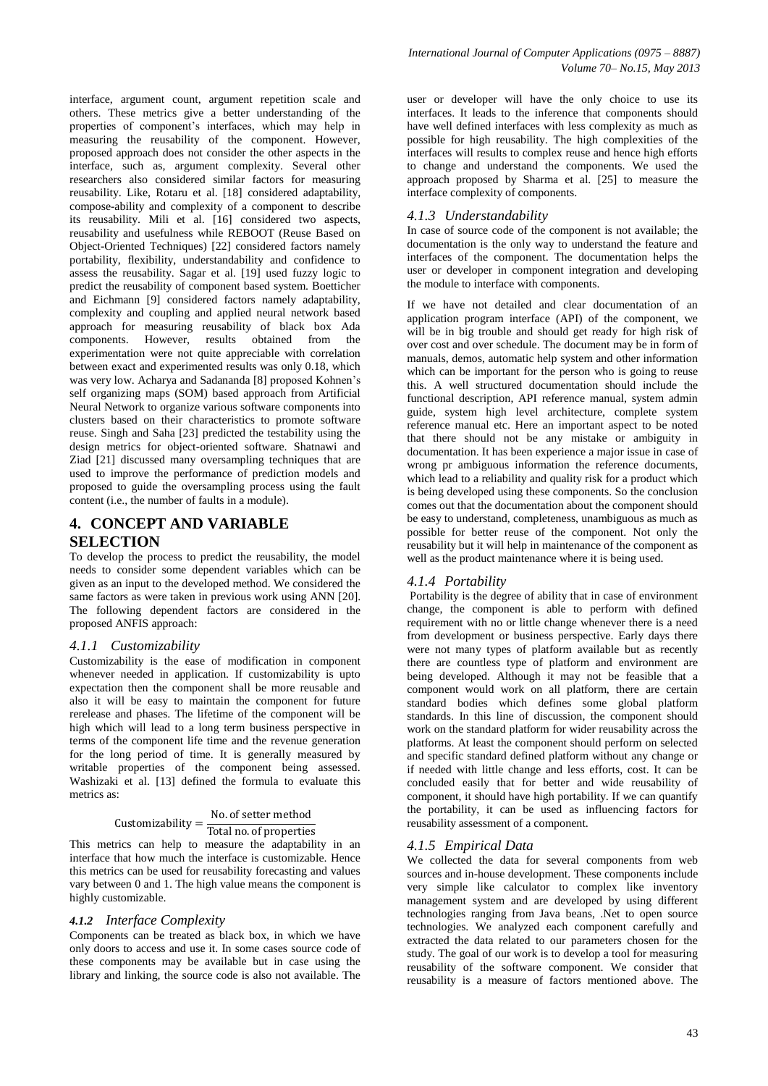interface, argument count, argument repetition scale and others. These metrics give a better understanding of the properties of component's interfaces, which may help in measuring the reusability of the component. However, proposed approach does not consider the other aspects in the interface, such as, argument complexity. Several other researchers also considered similar factors for measuring reusability. Like, Rotaru et al. [18] considered adaptability, compose-ability and complexity of a component to describe its reusability. Mili et al. [16] considered two aspects, reusability and usefulness while REBOOT (Reuse Based on Object-Oriented Techniques) [22] considered factors namely portability, flexibility, understandability and confidence to assess the reusability. Sagar et al. [19] used fuzzy logic to predict the reusability of component based system. Boetticher and Eichmann [9] considered factors namely adaptability, complexity and coupling and applied neural network based approach for measuring reusability of black box Ada components. However, results obtained from the experimentation were not quite appreciable with correlation between exact and experimented results was only 0.18, which was very low. Acharya and Sadananda [8] proposed Kohnen's self organizing maps (SOM) based approach from Artificial Neural Network to organize various software components into clusters based on their characteristics to promote software reuse. Singh and Saha [23] predicted the testability using the design metrics for object-oriented software. Shatnawi and Ziad [21] discussed many oversampling techniques that are used to improve the performance of prediction models and proposed to guide the oversampling process using the fault content (i.e., the number of faults in a module).

## **4. CONCEPT AND VARIABLE SELECTION**

To develop the process to predict the reusability, the model needs to consider some dependent variables which can be given as an input to the developed method. We considered the same factors as were taken in previous work using ANN [20]. The following dependent factors are considered in the proposed ANFIS approach:

#### *4.1.1 Customizability*

Customizability is the ease of modification in component whenever needed in application. If customizability is upto expectation then the component shall be more reusable and also it will be easy to maintain the component for future rerelease and phases. The lifetime of the component will be high which will lead to a long term business perspective in terms of the component life time and the revenue generation for the long period of time. It is generally measured by writable properties of the component being assessed. Washizaki et al. [13] defined the formula to evaluate this metrics as:

#### Customizability =  $\frac{N}{T}$ T

This metrics can help to measure the adaptability in an interface that how much the interface is customizable. Hence this metrics can be used for reusability forecasting and values vary between 0 and 1. The high value means the component is highly customizable.

#### *4.1.2 Interface Complexity*

Components can be treated as black box, in which we have only doors to access and use it. In some cases source code of these components may be available but in case using the library and linking, the source code is also not available. The

user or developer will have the only choice to use its interfaces. It leads to the inference that components should have well defined interfaces with less complexity as much as possible for high reusability. The high complexities of the interfaces will results to complex reuse and hence high efforts to change and understand the components. We used the approach proposed by Sharma et al. [25] to measure the interface complexity of components.

#### *4.1.3 Understandability*

In case of source code of the component is not available; the documentation is the only way to understand the feature and interfaces of the component. The documentation helps the user or developer in component integration and developing the module to interface with components.

If we have not detailed and clear documentation of an application program interface (API) of the component, we will be in big trouble and should get ready for high risk of over cost and over schedule. The document may be in form of manuals, demos, automatic help system and other information which can be important for the person who is going to reuse this. A well structured documentation should include the functional description, API reference manual, system admin guide, system high level architecture, complete system reference manual etc. Here an important aspect to be noted that there should not be any mistake or ambiguity in documentation. It has been experience a major issue in case of wrong pr ambiguous information the reference documents, which lead to a reliability and quality risk for a product which is being developed using these components. So the conclusion comes out that the documentation about the component should be easy to understand, completeness, unambiguous as much as possible for better reuse of the component. Not only the reusability but it will help in maintenance of the component as well as the product maintenance where it is being used.

## *4.1.4 Portability*

Portability is the degree of ability that in case of environment change, the component is able to perform with defined requirement with no or little change whenever there is a need from development or business perspective. Early days there were not many types of platform available but as recently there are countless type of platform and environment are being developed. Although it may not be feasible that a component would work on all platform, there are certain standard bodies which defines some global platform standards. In this line of discussion, the component should work on the standard platform for wider reusability across the platforms. At least the component should perform on selected and specific standard defined platform without any change or if needed with little change and less efforts, cost. It can be concluded easily that for better and wide reusability of component, it should have high portability. If we can quantify the portability, it can be used as influencing factors for reusability assessment of a component.

#### *4.1.5 Empirical Data*

We collected the data for several components from web sources and in-house development. These components include very simple like calculator to complex like inventory management system and are developed by using different technologies ranging from Java beans, .Net to open source technologies. We analyzed each component carefully and extracted the data related to our parameters chosen for the study. The goal of our work is to develop a tool for measuring reusability of the software component. We consider that reusability is a measure of factors mentioned above. The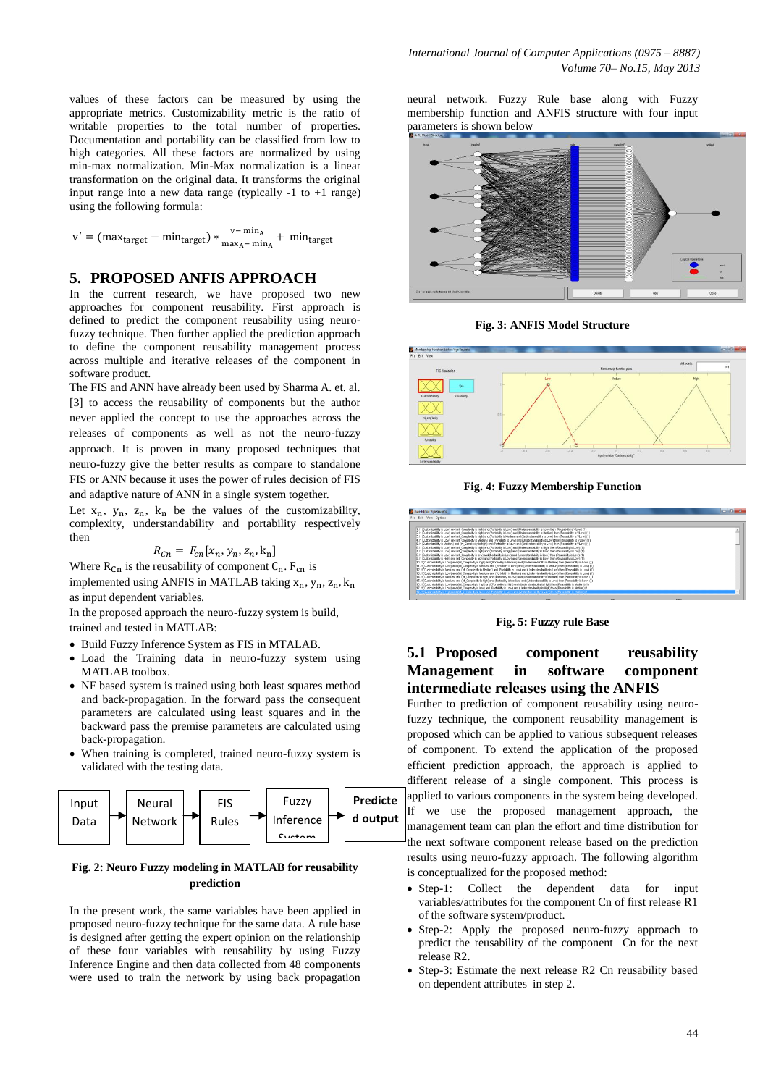values of these factors can be measured by using the appropriate metrics. Customizability metric is the ratio of writable properties to the total number of properties. Documentation and portability can be classified from low to high categories. All these factors are normalized by using min-max normalization. Min-Max normalization is a linear transformation on the original data. It transforms the original input range into a new data range (typically -1 to +1 range) using the following formula:

 $v' = (max_{target} - min_{target}) * \frac{v}{max}$  $\frac{v - \min_{A}}{\max_{A} - \min_{A}} +$ 

#### **5. PROPOSED ANFIS APPROACH**

In the current research, we have proposed two new approaches for component reusability. First approach is defined to predict the component reusability using neurofuzzy technique. Then further applied the prediction approach to define the component reusability management process across multiple and iterative releases of the component in software product.

The FIS and ANN have already been used by Sharma A. et. al. [3] to access the reusability of components but the author never applied the concept to use the approaches across the releases of components as well as not the neuro-fuzzy approach. It is proven in many proposed techniques that neuro-fuzzy give the better results as compare to standalone FIS or ANN because it uses the power of rules decision of FIS and adaptive nature of ANN in a single system together.

Let  $x_n$ ,  $y_n$ ,  $z_n$ ,  $k_n$  be the values of the customizability, complexity, understandability and portability respectively then

$$
R_{cn} = F_{cn}[x_n, y_n, z_n, k_n]
$$

Where  $R_{\text{Cn}}$  is the reusability of component  $C_{\text{n}}$ .  $F_{\text{Cn}}$  is

implemented using ANFIS in MATLAB taking  $x_n$ ,  $y_n$ ,  $z_n$ ,  $k_n$ as input dependent variables.

In the proposed approach the neuro-fuzzy system is build, trained and tested in MATLAB:

- Build Fuzzy Inference System as FIS in MTALAB.
- Load the Training data in neuro-fuzzy system using MATLAB toolbox.
- NF based system is trained using both least squares method and back-propagation. In the forward pass the consequent parameters are calculated using least squares and in the backward pass the premise parameters are calculated using back-propagation.
- When training is completed, trained neuro-fuzzy system is validated with the testing data.



#### **Fig. 2: Neuro Fuzzy modeling in MATLAB for reusability prediction**

In the present work, the same variables have been applied in proposed neuro-fuzzy technique for the same data. A rule base is designed after getting the expert opinion on the relationship of these four variables with reusability by using Fuzzy Inference Engine and then data collected from 48 components were used to train the network by using back propagation

neural network. Fuzzy Rule base along with Fuzzy membership function and ANFIS structure with four input parameters is shown below



**Fig. 3: ANFIS Model Structure**



**Fig. 4: Fuzzy Membership Function**



**Fig. 5: Fuzzy rule Base**

# **5.1 Proposed component reusability Management in software component intermediate releases using the ANFIS**

Further to prediction of component reusability using neurofuzzy technique, the component reusability management is proposed which can be applied to various subsequent releases of component. To extend the application of the proposed efficient prediction approach, the approach is applied to different release of a single component. This process is applied to various components in the system being developed. If we use the proposed management approach, the management team can plan the effort and time distribution for the next software component release based on the prediction results using neuro-fuzzy approach. The following algorithm is conceptualized for the proposed method:

- Step-1: Collect the dependent data for input variables/attributes for the component Cn of first release R1 of the software system/product.
- Step-2: Apply the proposed neuro-fuzzy approach to predict the reusability of the component Cn for the next release R2.
- Step-3: Estimate the next release R2 Cn reusability based on dependent attributes in step 2.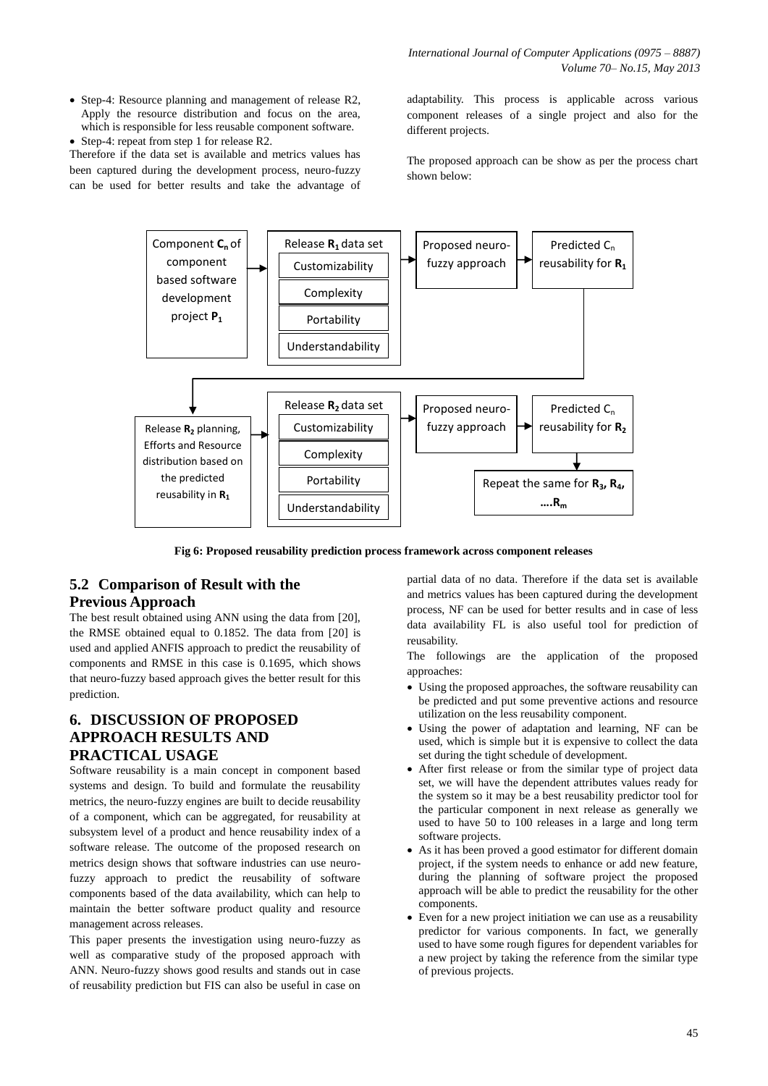- Step-4: Resource planning and management of release R2, Apply the resource distribution and focus on the area, which is responsible for less reusable component software.
- Step-4: repeat from step 1 for release R2.

Therefore if the data set is available and metrics values has been captured during the development process, neuro-fuzzy can be used for better results and take the advantage of adaptability. This process is applicable across various component releases of a single project and also for the different projects.

The proposed approach can be show as per the process chart shown below:



**Fig 6: Proposed reusability prediction process framework across component releases**

## **5.2 Comparison of Result with the Previous Approach**

The best result obtained using ANN using the data from [20], the RMSE obtained equal to 0.1852. The data from [20] is used and applied ANFIS approach to predict the reusability of components and RMSE in this case is 0.1695, which shows that neuro-fuzzy based approach gives the better result for this prediction.

# **6. DISCUSSION OF PROPOSED APPROACH RESULTS AND PRACTICAL USAGE**

Software reusability is a main concept in component based systems and design. To build and formulate the reusability metrics, the neuro-fuzzy engines are built to decide reusability of a component, which can be aggregated, for reusability at subsystem level of a product and hence reusability index of a software release. The outcome of the proposed research on metrics design shows that software industries can use neurofuzzy approach to predict the reusability of software components based of the data availability, which can help to maintain the better software product quality and resource management across releases.

This paper presents the investigation using neuro-fuzzy as well as comparative study of the proposed approach with ANN. Neuro-fuzzy shows good results and stands out in case of reusability prediction but FIS can also be useful in case on

partial data of no data. Therefore if the data set is available and metrics values has been captured during the development process, NF can be used for better results and in case of less data availability FL is also useful tool for prediction of reusability.

The followings are the application of the proposed approaches:

- Using the proposed approaches, the software reusability can be predicted and put some preventive actions and resource utilization on the less reusability component.
- Using the power of adaptation and learning, NF can be used, which is simple but it is expensive to collect the data set during the tight schedule of development.
- After first release or from the similar type of project data set, we will have the dependent attributes values ready for the system so it may be a best reusability predictor tool for the particular component in next release as generally we used to have 50 to 100 releases in a large and long term software projects.
- As it has been proved a good estimator for different domain project, if the system needs to enhance or add new feature, during the planning of software project the proposed approach will be able to predict the reusability for the other components.
- Even for a new project initiation we can use as a reusability predictor for various components. In fact, we generally used to have some rough figures for dependent variables for a new project by taking the reference from the similar type of previous projects.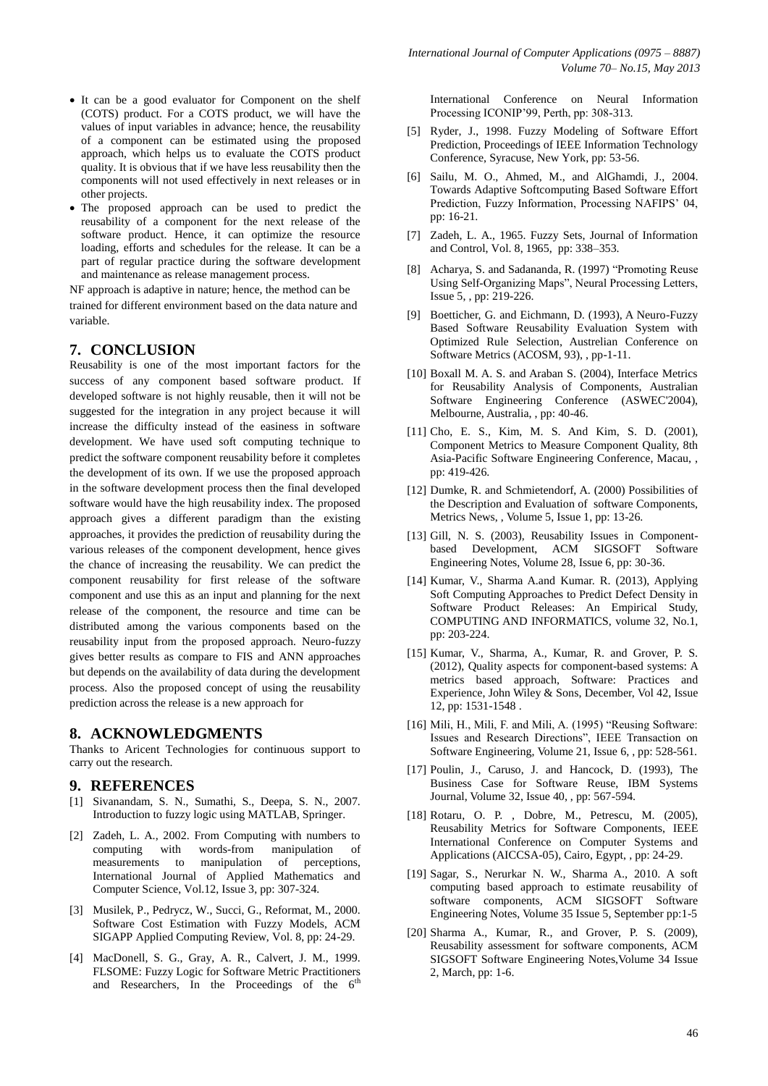- It can be a good evaluator for Component on the shelf (COTS) product. For a COTS product, we will have the values of input variables in advance; hence, the reusability of a component can be estimated using the proposed approach, which helps us to evaluate the COTS product quality. It is obvious that if we have less reusability then the components will not used effectively in next releases or in other projects.
- The proposed approach can be used to predict the reusability of a component for the next release of the software product. Hence, it can optimize the resource loading, efforts and schedules for the release. It can be a part of regular practice during the software development and maintenance as release management process.

NF approach is adaptive in nature; hence, the method can be trained for different environment based on the data nature and variable.

## **7. CONCLUSION**

Reusability is one of the most important factors for the success of any component based software product. If developed software is not highly reusable, then it will not be suggested for the integration in any project because it will increase the difficulty instead of the easiness in software development. We have used soft computing technique to predict the software component reusability before it completes the development of its own. If we use the proposed approach in the software development process then the final developed software would have the high reusability index. The proposed approach gives a different paradigm than the existing approaches, it provides the prediction of reusability during the various releases of the component development, hence gives the chance of increasing the reusability. We can predict the component reusability for first release of the software component and use this as an input and planning for the next release of the component, the resource and time can be distributed among the various components based on the reusability input from the proposed approach. Neuro-fuzzy gives better results as compare to FIS and ANN approaches but depends on the availability of data during the development process. Also the proposed concept of using the reusability prediction across the release is a new approach for

## **8. ACKNOWLEDGMENTS**

Thanks to Aricent Technologies for continuous support to carry out the research.

#### **9. REFERENCES**

- [1] Sivanandam, S. N., Sumathi, S., Deepa, S. N., 2007. Introduction to fuzzy logic using MATLAB, Springer.
- [2] Zadeh, L. A., 2002. From Computing with numbers to computing with words-from manipulation of measurements to manipulation of perceptions, International Journal of Applied Mathematics and Computer Science, Vol.12, Issue 3, pp: 307-324.
- [3] Musilek, P., Pedrycz, W., Succi, G., Reformat, M., 2000. Software Cost Estimation with Fuzzy Models, ACM SIGAPP Applied Computing Review, Vol. 8, pp: 24-29.
- [4] MacDonell, S. G., Gray, A. R., Calvert, J. M., 1999. FLSOME: Fuzzy Logic for Software Metric Practitioners and Researchers. In the Proceedings of the  $6<sup>th</sup>$

International Conference on Neural Information Processing ICONIP'99, Perth, pp: 308-313.

- [5] Ryder, J., 1998. Fuzzy Modeling of Software Effort Prediction, Proceedings of IEEE Information Technology Conference, Syracuse, New York, pp: 53-56.
- [6] Sailu, M. O., Ahmed, M., and AlGhamdi, J., 2004. Towards Adaptive Softcomputing Based Software Effort Prediction, Fuzzy Information, Processing NAFIPS' 04, pp: 16-21.
- [7] Zadeh, L. A., 1965. Fuzzy Sets, Journal of Information and Control, Vol. 8, 1965, pp: 338–353.
- [8] Acharya, S. and Sadananda, R. (1997) "Promoting Reuse Using Self-Organizing Maps", Neural Processing Letters, Issue 5, , pp: 219-226.
- [9] Boetticher, G. and Eichmann, D. (1993), A Neuro-Fuzzy Based Software Reusability Evaluation System with Optimized Rule Selection, Austrelian Conference on Software Metrics (ACOSM, 93), , pp-1-11.
- [10] Boxall M. A. S. and Araban S. (2004), Interface Metrics for Reusability Analysis of Components, Australian Software Engineering Conference (ASWEC'2004), Melbourne, Australia, , pp: 40-46.
- [11] Cho, E. S., Kim, M. S. And Kim, S. D. (2001), Component Metrics to Measure Component Quality, 8th Asia-Pacific Software Engineering Conference, Macau, , pp: 419-426.
- [12] Dumke, R. and Schmietendorf, A. (2000) Possibilities of the Description and Evaluation of software Components, Metrics News, , Volume 5, Issue 1, pp: 13-26.
- [13] Gill, N. S. (2003), Reusability Issues in Componentbased Development, ACM SIGSOFT Software Engineering Notes, Volume 28, Issue 6, pp: 30-36.
- [14] Kumar, V., Sharma A.and Kumar. R. (2013), Applying Soft Computing Approaches to Predict Defect Density in Software Product Releases: An Empirical Study, COMPUTING AND INFORMATICS, volume 32, No.1, pp: 203-224.
- [15] Kumar, V., Sharma, A., Kumar, R. and Grover, P. S. (2012), Quality aspects for component-based systems: A metrics based approach, Software: Practices and Experience, John Wiley & Sons, December, Vol 42, Issue 12, pp: 1531-1548 .
- [16] Mili, H., Mili, F. and Mili, A. (1995) "Reusing Software: Issues and Research Directions", IEEE Transaction on Software Engineering, Volume 21, Issue 6, , pp: 528-561.
- [17] Poulin, J., Caruso, J. and Hancock, D. (1993), The Business Case for Software Reuse, IBM Systems Journal, Volume 32, Issue 40, , pp: 567-594.
- [18] Rotaru, O. P. , Dobre, M., Petrescu, M. (2005), Reusability Metrics for Software Components, IEEE International Conference on Computer Systems and Applications (AICCSA-05), Cairo, Egypt, , pp: 24-29.
- [19] Sagar, S., Nerurkar N. W., Sharma A., 2010. A soft computing based approach to estimate reusability of software components, ACM SIGSOFT Software Engineering Notes, Volume 35 Issue 5, September pp:1-5
- [20] Sharma A., Kumar, R., and Grover, P. S. (2009), Reusability assessment for software components, ACM SIGSOFT Software Engineering Notes,Volume 34 Issue 2, March, pp: 1-6.